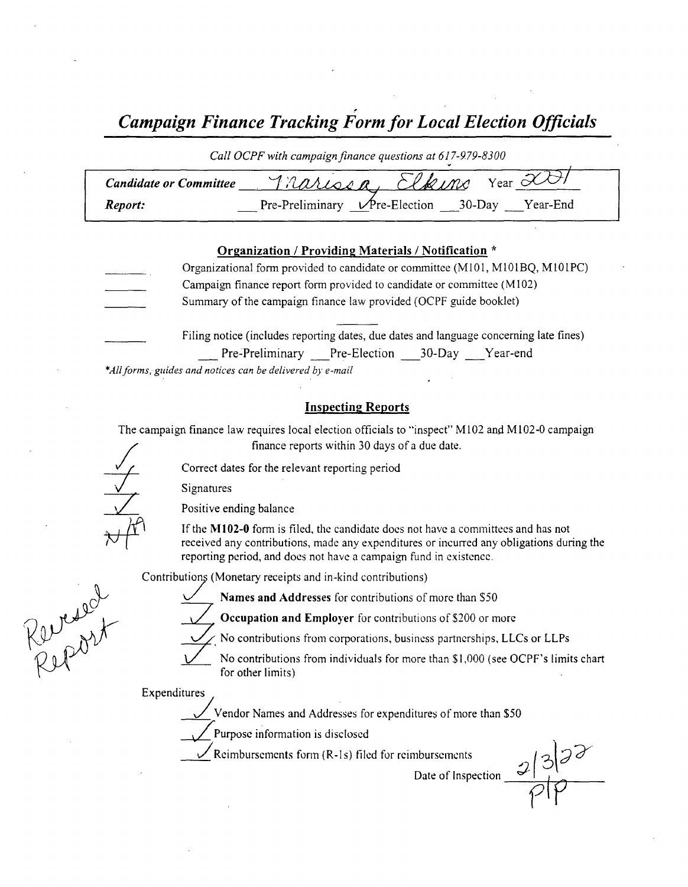| <b>Campaign Finance Tracking Form for Local Election Officials</b> |                                                           |  |  |  |
|--------------------------------------------------------------------|-----------------------------------------------------------|--|--|--|
|                                                                    | Call OCPF with campaign finance questions at 617-979-8300 |  |  |  |
| <b>Candidate or Committee</b>                                      | <u>Trarison, Elkins</u> Year 2001                         |  |  |  |
| Report:                                                            | Pre-Preliminary Pre-Election __30-Day Pear-End            |  |  |  |

#### Organization / Providing Materials/ Notification \*

| Organizational form provided to candidate or committee (M101, M101BQ, M101PC)                                                                |
|----------------------------------------------------------------------------------------------------------------------------------------------|
| Campaign finance report form provided to candidate or committee (M102)                                                                       |
| Summary of the campaign finance law provided (OCPF guide booklet)                                                                            |
| Filing notice (includes reporting dates, due dates and language concerning late fines)<br>Pre-Preliminary Pre-Election ___30-Day ___Year-end |

\*All forms, guides and notices can be delivered by e-mail

### Inspecting Reports

The campaign finance law requires local election officials to "inspect" M102 and M102-0 campaign finance reports within 30 days of <sup>a</sup> due date.

Correct dates for the relevant reporting period

Signatures

Positive ending balance

If the M102-0 form is filed, the candidate does not have a committees and has not received any contributions, made any expenditures or incurred any obligations during the reporting period, and does not have a campaign fund in existence.

Contributions ( Monetary receipts and in- kind contributions)

Reversel

l

Names and Addresses for contributions of more than \$50

Occupation and Employer for contributions of \$200 or more

No contributions from corporations, business partnerships, LLCs or LLPs

No contributions from individuals for more than \$1,000 (see OCPF's limits chart for other limits)

Expenditures

Vendor Names and Addresses for expenditures of more than \$50

Purpose information is disclosed

Reimbursements form (R-1s) filed for reimbursements

 $\frac{2|3|^{3}}{10}$ Date of Inspection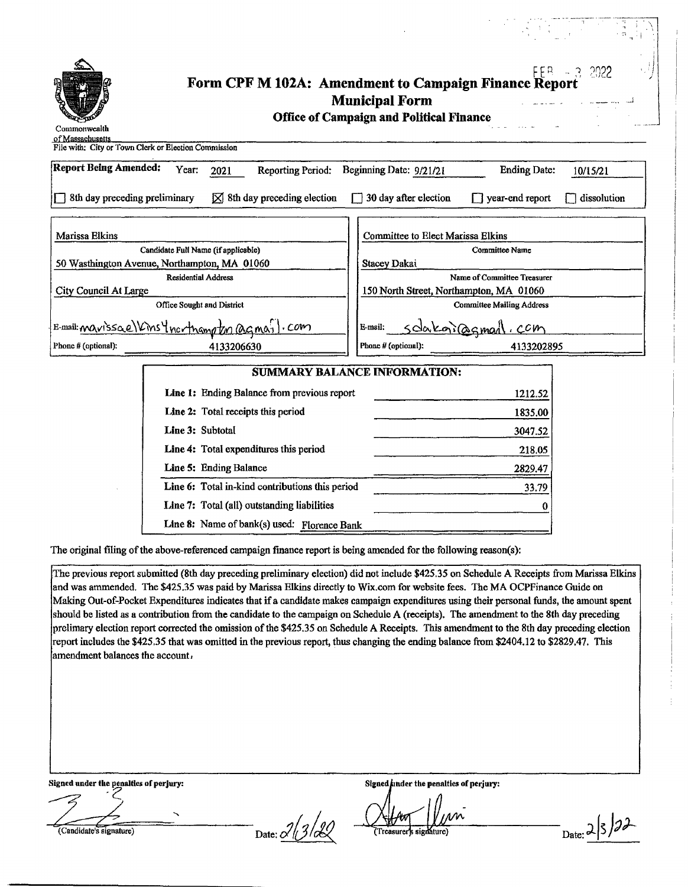|                               |                                                                   |                                                                          | $\mathbb{R}^n$ , i.i.                 |
|-------------------------------|-------------------------------------------------------------------|--------------------------------------------------------------------------|---------------------------------------|
| Commonwealth                  | FER 13 2022 Form CPF M 102A: Amendment to Campaign Finance Report | <b>Municipal Form</b><br><b>Office of Campaign and Political Finance</b> |                                       |
| of Massachusetts              | File with: City or Town Clerk or Election Commission              |                                                                          |                                       |
| <b>Report Being Amended:</b>  | Year:<br><b>Reporting Period:</b><br>2021                         | Beginning Date: 9/21/21                                                  | <b>Ending Date:</b><br>10/15/21       |
| 8th day preceding preliminary | $[\times] 8th day preceding election$                             | 30 day after election                                                    | $\Box$ year-end report<br>dissolution |
| Marissa Elkins                | Candidate Full Name (if applicable)                               | <b>Committee to Elect Marissa Elkins</b>                                 | <b>Committee Name</b>                 |
|                               | 50 Wasthington Avenue, Northampton, MA 01060                      | Stacey Dakai                                                             |                                       |
|                               | <b>Residential Address</b>                                        |                                                                          | Name of Committee Treasurer           |
| <b>City Council At Large</b>  | Office Sought and District                                        | 150 North Street, Northampton, MA 01060                                  | <b>Committee Mailing Address</b>      |
|                               | E-mail: marissae Vins Incrimand on agmail.com                     | E-mail:                                                                  | <u>sdakoiasmail com</u>               |
| Phone # (optional):           | 4133206630                                                        | Phone # (optional):                                                      | 4133202895                            |
|                               |                                                                   | <b>SUMMARY BALANCE INFORMATION:</b>                                      |                                       |
|                               | Line 1: Ending Balance from previous report                       |                                                                          | 1212.52                               |
|                               | Line 2: Total receipts this period                                |                                                                          | 1835.00                               |
|                               | Line 3: Subtotal                                                  |                                                                          | 3047.52                               |
|                               | Line 4: Total expenditures this period                            |                                                                          | 218.05                                |
|                               | Line 5: Ending Balance                                            |                                                                          | 2829.47                               |
|                               | Line 6: Total in-kind contributions this period                   |                                                                          | 33.79                                 |
|                               | Line 7: Total (all) outstanding liabilities                       |                                                                          | 0                                     |
|                               | Line 8: Name of bank(s) used: Florence Bank                       |                                                                          |                                       |

The original filing of the above-referenced campaign finance report is being amended for the following reason(s):

The previous report submitted (8th day preceding preliminary election) did not include \$425.35 on Schedule A Receipts from Marissa Elkins and was ammended. The\$ 425. 35 was paid by Marissa Elkins directly to Wix. com for website fees. The MA OCPFinance Guide on Making Out-of-Pocket Expenditures indicates that if a candidate makes campaign expenditures using their personal funds, the amount spent should be listed as <sup>a</sup> contribution from the candidate to the campaign on Schedule A( receipts). The amendment to the 8th day preceding prelimary election report corrected the omission of the \$425.35 on Schedule A Receipts. This amendment to the 8th day preceding election report includes the \$425.35 that was omitted in the previous report, thus changing the ending balance from \$2404.12 to \$2829.47. This amendment balances the account,

Signed under the penalties of perjury: Signed/ ander the penalties of perjury:

i

Candidate's signature)<br>
Date:  $\frac{2}{3/2}$  Treasurer's signature) Date: 2 3 D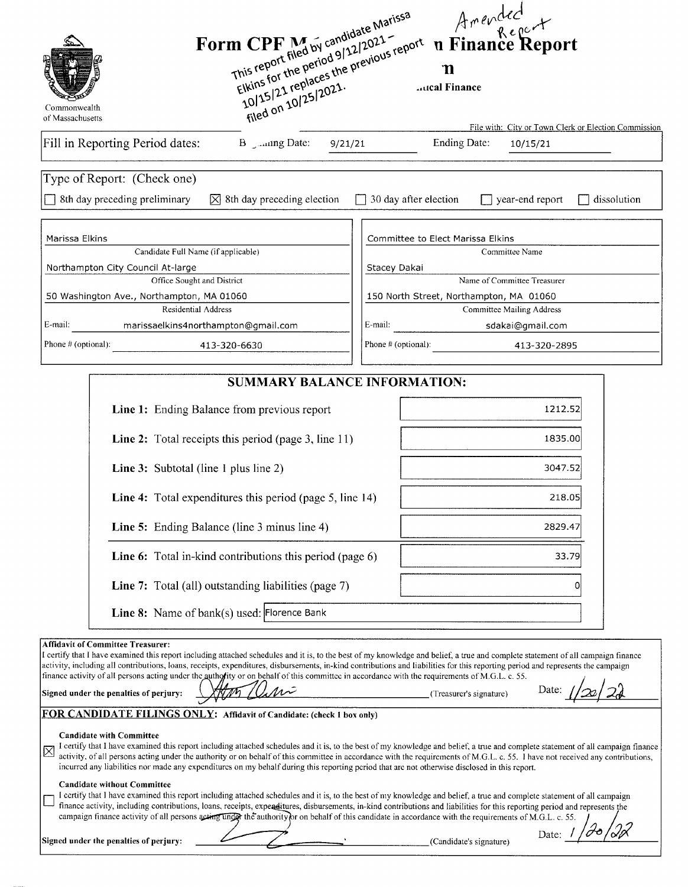|                                  |                                                                                                                                                                                                                                                                                                                                                                                                                                                                                                                                                                                                                                                                                        |              | Arended<br>n Finance Report                                                                                                                                                                                                                                                                                                                                        |
|----------------------------------|----------------------------------------------------------------------------------------------------------------------------------------------------------------------------------------------------------------------------------------------------------------------------------------------------------------------------------------------------------------------------------------------------------------------------------------------------------------------------------------------------------------------------------------------------------------------------------------------------------------------------------------------------------------------------------------|--------------|--------------------------------------------------------------------------------------------------------------------------------------------------------------------------------------------------------------------------------------------------------------------------------------------------------------------------------------------------------------------|
| Commonwealth<br>of Massachusetts | Form CPF M by candidate Marissa<br>Elkins for the period 9/12/2021-<br>10/15/21 replaces the previous report<br>filed on 10/25/2021.                                                                                                                                                                                                                                                                                                                                                                                                                                                                                                                                                   |              | ิท<br><b>Aucal Finance</b>                                                                                                                                                                                                                                                                                                                                         |
|                                  | Fill in Reporting Period dates:                                                                                                                                                                                                                                                                                                                                                                                                                                                                                                                                                                                                                                                        | 9/21/21      | File with: City or Town Clerk or Election Commission<br><b>Ending Date:</b><br>10/15/21                                                                                                                                                                                                                                                                            |
|                                  |                                                                                                                                                                                                                                                                                                                                                                                                                                                                                                                                                                                                                                                                                        |              |                                                                                                                                                                                                                                                                                                                                                                    |
|                                  | Type of Report: (Check one)                                                                                                                                                                                                                                                                                                                                                                                                                                                                                                                                                                                                                                                            |              |                                                                                                                                                                                                                                                                                                                                                                    |
|                                  | 8th day preceding preliminary<br>8th day preceding election<br>IХI                                                                                                                                                                                                                                                                                                                                                                                                                                                                                                                                                                                                                     |              | 30 day after election<br>year-end report<br>dissolution                                                                                                                                                                                                                                                                                                            |
| Marissa Elkins                   | Candidate Full Name (if applicable)                                                                                                                                                                                                                                                                                                                                                                                                                                                                                                                                                                                                                                                    |              | Committee to Elect Marissa Elkins<br>Committee Name                                                                                                                                                                                                                                                                                                                |
|                                  | Northampton City Council At-large                                                                                                                                                                                                                                                                                                                                                                                                                                                                                                                                                                                                                                                      | Stacey Dakai |                                                                                                                                                                                                                                                                                                                                                                    |
|                                  | Office Sought and District                                                                                                                                                                                                                                                                                                                                                                                                                                                                                                                                                                                                                                                             |              | Name of Committee Treasurer                                                                                                                                                                                                                                                                                                                                        |
|                                  | 50 Washington Ave., Northampton, MA 01060<br>Residential Address                                                                                                                                                                                                                                                                                                                                                                                                                                                                                                                                                                                                                       |              | 150 North Street, Northampton, MA 01060<br><b>Committee Mailing Address</b>                                                                                                                                                                                                                                                                                        |
| E-mail:                          | marissaelkins4northampton@gmail.com                                                                                                                                                                                                                                                                                                                                                                                                                                                                                                                                                                                                                                                    | E-mail:      | sdakai@gmail.com                                                                                                                                                                                                                                                                                                                                                   |
| Phone # (optional):              | 413-320-6630                                                                                                                                                                                                                                                                                                                                                                                                                                                                                                                                                                                                                                                                           |              | Phone # (optional):<br>413-320-2895                                                                                                                                                                                                                                                                                                                                |
|                                  | <b>SUMMARY BALANCE INFORMATION:</b>                                                                                                                                                                                                                                                                                                                                                                                                                                                                                                                                                                                                                                                    |              |                                                                                                                                                                                                                                                                                                                                                                    |
|                                  | Line 1: Ending Balance from previous report                                                                                                                                                                                                                                                                                                                                                                                                                                                                                                                                                                                                                                            |              | 1212.52                                                                                                                                                                                                                                                                                                                                                            |
|                                  | Line 2: Total receipts this period (page 3, line 11)                                                                                                                                                                                                                                                                                                                                                                                                                                                                                                                                                                                                                                   |              | 1835.00                                                                                                                                                                                                                                                                                                                                                            |
|                                  | <b>Line 3:</b> Subtotal (line 1 plus line 2)                                                                                                                                                                                                                                                                                                                                                                                                                                                                                                                                                                                                                                           |              | 3047.52                                                                                                                                                                                                                                                                                                                                                            |
|                                  | Line 4: Total expenditures this period (page 5, line 14)                                                                                                                                                                                                                                                                                                                                                                                                                                                                                                                                                                                                                               |              | 218.05                                                                                                                                                                                                                                                                                                                                                             |
|                                  | Line 5: Ending Balance (line 3 minus line 4)                                                                                                                                                                                                                                                                                                                                                                                                                                                                                                                                                                                                                                           |              | 2829.4                                                                                                                                                                                                                                                                                                                                                             |
|                                  | Line 6: Total in-kind contributions this period (page 6)                                                                                                                                                                                                                                                                                                                                                                                                                                                                                                                                                                                                                               |              | 33.79                                                                                                                                                                                                                                                                                                                                                              |
|                                  | Line 7: Total (all) outstanding liabilities (page 7)                                                                                                                                                                                                                                                                                                                                                                                                                                                                                                                                                                                                                                   |              |                                                                                                                                                                                                                                                                                                                                                                    |
|                                  | Line 8: Name of bank(s) used: Florence Bank                                                                                                                                                                                                                                                                                                                                                                                                                                                                                                                                                                                                                                            |              |                                                                                                                                                                                                                                                                                                                                                                    |
|                                  | <b>Affidavit of Committee Treasurer:</b><br>I certify that I have examined this report including attached schedules and it is, to the best of my knowledge and belief, a true and complete statement of all campaign finance<br>activity, including all contributions, loans, receipts, expenditures, disbursements, in-kind contributions and liabilities for this reporting period and represents the campaign<br>finance activity of all persons acting under the authority or on behalf of this committee in accordance with the requirements of M.G.L. c. 55.<br>Signed under the penalties of perjury:<br>FOR CANDIDATE FILINGS ONLY: Affidavit of Candidate: (check 1 box only) |              | Date:<br>(Treasurer's signature)                                                                                                                                                                                                                                                                                                                                   |
|                                  | <b>Candidate with Committee</b><br>incurred any liabilities nor made any expenditures on my behalf during this reporting period that are not otherwise disclosed in this report.                                                                                                                                                                                                                                                                                                                                                                                                                                                                                                       |              | I certify that I have examined this report including attached schedules and it is, to the best of my knowledge and belief, a true and complete statement of all campaign finance<br>activity, of all persons acting under the authority or on behalf of this committee in accordance with the requirements of M.G.L. c. 55. I have not received any contributions, |
|                                  | <b>Candidate without Committee</b><br>I certify that I have examined this report including attached schedules and it is, to the best of my knowledge and belief, a true and complete statement of all campaign<br>finance activity, including contributions, loans, receipts, expenditures, disbursements, in-kind contributions and liabilities for this reporting period and represents the<br>campaign finance activity of all persons acting under the authority or on behalf of this candidate in accordance with the requirements of M.G.L. c. 55.                                                                                                                               |              |                                                                                                                                                                                                                                                                                                                                                                    |
|                                  | Signed under the penalties of perjury:                                                                                                                                                                                                                                                                                                                                                                                                                                                                                                                                                                                                                                                 |              | Date:                                                                                                                                                                                                                                                                                                                                                              |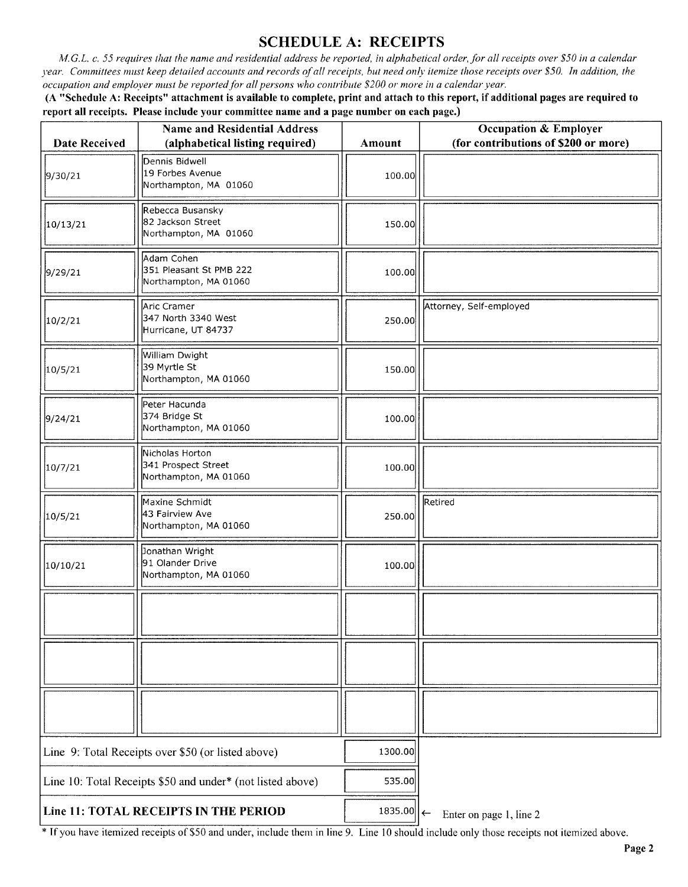# SCHEDULE A: RECEIPTS

M.G.L. c. 55 requires that the name and residential address be reported, in alphabetical order, for all receipts over \$50 in a calendar year. Committees must keep detailed accounts and records of all receipts, but need only itemize those receipts over \$50. In addition, the occupation and employer must be reported for all persons who contribute\$ 200 or more in a calendar year.

A " Schedule A: Receipts" attachment is available to complete, print and attach to this report, if additional pages are required to report all receipts. Please include your committee name and a page number on each page.)

| <b>Date Received</b>                                                 | <b>Name and Residential Address</b><br>(alphabetical listing required) | Amount | <b>Occupation &amp; Employer</b><br>(for contributions of \$200 or more) |
|----------------------------------------------------------------------|------------------------------------------------------------------------|--------|--------------------------------------------------------------------------|
| 9/30/21                                                              | Dennis Bidwell<br>19 Forbes Avenue<br>Northampton, MA 01060            | 100.00 |                                                                          |
| 10/13/21                                                             | Rebecca Busansky<br>82 Jackson Street<br>Northampton, MA 01060         | 150.00 |                                                                          |
| 9/29/21                                                              | Adam Cohen<br>351 Pleasant St PMB 222<br>Northampton, MA 01060         | 100.00 |                                                                          |
| 10/2/21                                                              | Aric Cramer<br>347 North 3340 West<br>Hurricane, UT 84737              | 250.00 | Attorney, Self-employed                                                  |
| 10/5/21                                                              | William Dwight<br>39 Myrtle St<br>Northampton, MA 01060                | 150.00 |                                                                          |
| 9/24/21                                                              | Peter Hacunda<br>374 Bridge St<br>Northampton, MA 01060                | 100.00 |                                                                          |
| 10/7/21                                                              | Nicholas Horton<br>341 Prospect Street<br>Northampton, MA 01060        | 100.00 |                                                                          |
| 10/5/21                                                              | Maxine Schmidt<br>43 Fairview Ave<br>Northampton, MA 01060             | 250.00 | Retired                                                                  |
| 10/10/21                                                             | Jonathan Wright<br>91 Olander Drive<br>Northampton, MA 01060           | 100.00 |                                                                          |
|                                                                      |                                                                        |        |                                                                          |
|                                                                      |                                                                        |        |                                                                          |
|                                                                      |                                                                        |        |                                                                          |
|                                                                      | Line 9: Total Receipts over \$50 (or listed above)                     |        |                                                                          |
| Line 10: Total Receipts \$50 and under* (not listed above)           |                                                                        | 535.00 |                                                                          |
| Line 11: TOTAL RECEIPTS IN THE PERIOD<br>1835.00 $\left  \leftarrow$ |                                                                        |        | Enter on page 1, line 2                                                  |

\* If you have itemized receipts of \$50 and under, include them in line 9. Line 10 should include only those receipts not itemized above.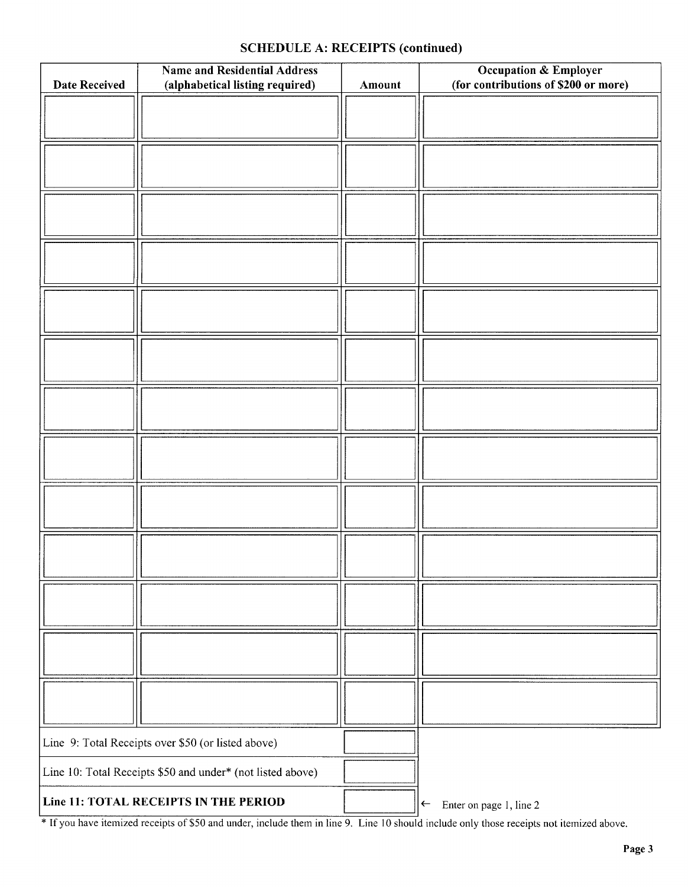## SCHEDULE A: RECEIPTS (continued)

| <b>Name and Residential Address</b><br>(alphabetical listing required)<br><b>Date Received</b> |  | Amount | <b>Occupation &amp; Employer</b><br>(for contributions of \$200 or more) |
|------------------------------------------------------------------------------------------------|--|--------|--------------------------------------------------------------------------|
|                                                                                                |  |        |                                                                          |
|                                                                                                |  |        |                                                                          |
|                                                                                                |  |        |                                                                          |
|                                                                                                |  |        |                                                                          |
|                                                                                                |  |        |                                                                          |
|                                                                                                |  |        |                                                                          |
|                                                                                                |  |        |                                                                          |
|                                                                                                |  |        |                                                                          |
|                                                                                                |  |        |                                                                          |
|                                                                                                |  |        |                                                                          |
|                                                                                                |  |        |                                                                          |
|                                                                                                |  |        |                                                                          |
|                                                                                                |  |        |                                                                          |
| Line 9: Total Receipts over \$50 (or listed above)                                             |  |        |                                                                          |
| Line 10: Total Receipts \$50 and under* (not listed above)                                     |  |        |                                                                          |
| Line 11: TOTAL RECEIPTS IN THE PERIOD                                                          |  |        | Enter on page 1, line 2<br>$\left  \leftarrow \right $                   |

If you have itemized receipts of \$50 and under, include them in line 9. Line 10 should include only those receipts not itemized above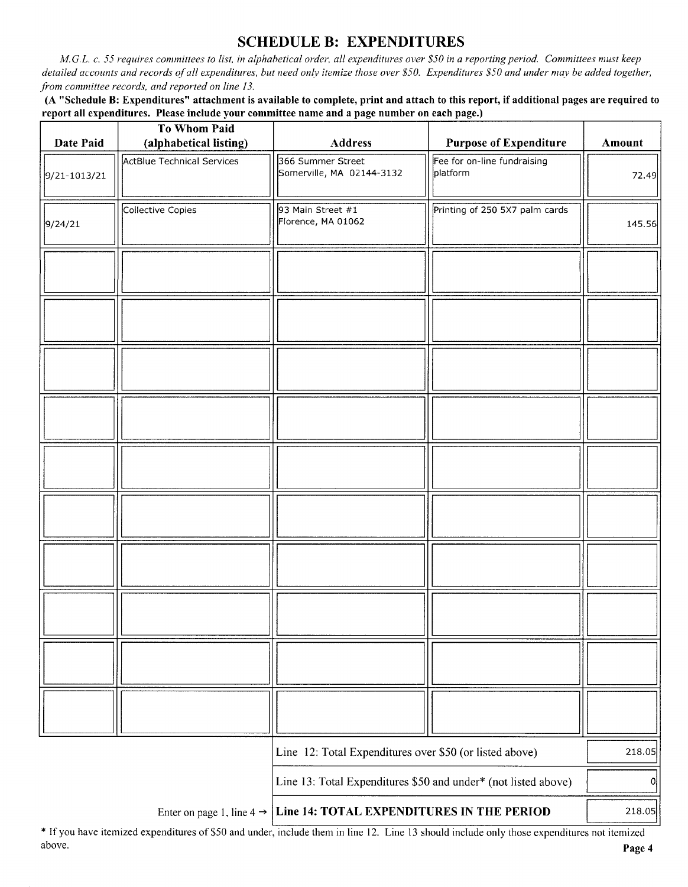# SCHEDULE B: EXPENDITURES

M.G.L. c. 55 requires committees to list, in alphabetical order, all expenditures over \$50 in a reporting period. Committees must keep detailed accounts and records of all expenditures, but need only itemize those over \$50. Expenditures \$50 and under may be added together, from committee records, and reported on line 13.

A " Schedule B: Expenditures" attachment is available to complete, print and attach to this report, if additional pages are required to report all expenditures. Please include your committee name and a page number on each page.)

| Date Paid    | <b>To Whom Paid</b><br>(alphabetical listing) | <b>Address</b>                                                                  | <b>Purpose of Expenditure</b>           | Amount |
|--------------|-----------------------------------------------|---------------------------------------------------------------------------------|-----------------------------------------|--------|
| 9/21-1013/21 | <b>ActBlue Technical Services</b>             | 366 Summer Street<br>Somerville, MA 02144-3132                                  | Fee for on-line fundraising<br>platform | 72.49  |
| 9/24/21      | Collective Copies                             | 93 Main Street #1<br>Florence, MA 01062                                         | Printing of 250 5X7 palm cards          | 145.56 |
|              |                                               |                                                                                 |                                         |        |
|              |                                               |                                                                                 |                                         |        |
|              |                                               |                                                                                 |                                         |        |
|              |                                               |                                                                                 |                                         |        |
|              |                                               |                                                                                 |                                         |        |
|              |                                               |                                                                                 |                                         |        |
|              |                                               |                                                                                 |                                         |        |
|              |                                               |                                                                                 |                                         |        |
|              |                                               |                                                                                 |                                         |        |
|              |                                               |                                                                                 |                                         |        |
|              |                                               | Line 12: Total Expenditures over \$50 (or listed above)                         |                                         | 218.05 |
|              |                                               | Line 13: Total Expenditures \$50 and under* (not listed above)                  |                                         | 이      |
|              |                                               | Enter on page 1, line $4 \rightarrow$ Line 14: TOTAL EXPENDITURES IN THE PERIOD |                                         | 218.05 |

If you have itemized expenditures of\$50 and under, include them in line 12. Line <sup>13</sup> should include only those expenditures not itemized above. **Page 4**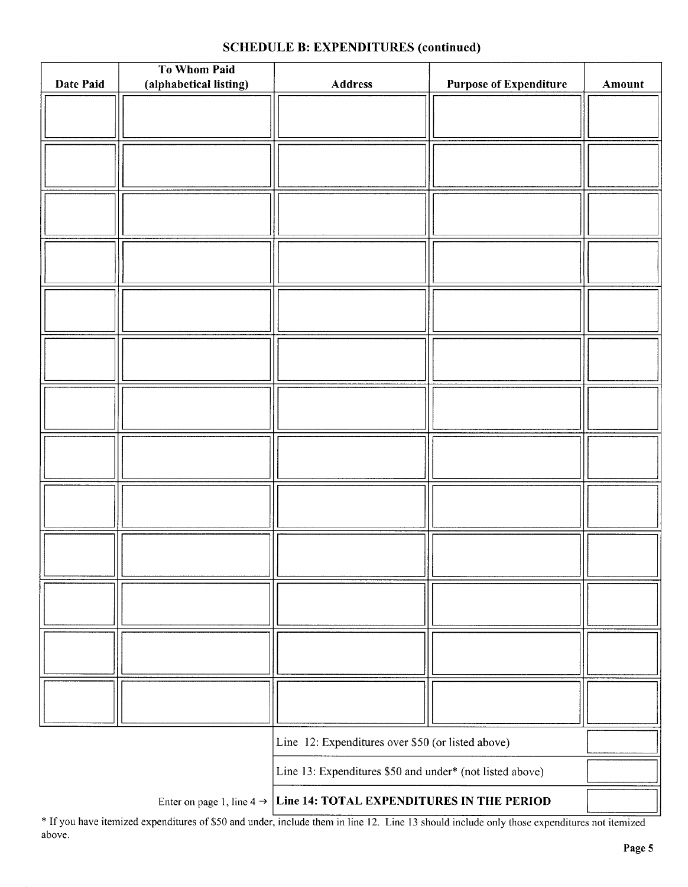|  | <b>SCHEDULE B: EXPENDITURES (continued)</b> |  |
|--|---------------------------------------------|--|
|--|---------------------------------------------|--|

| Date Paid                                         | To Whom Paid<br>(alphabetical listing) | <b>Address</b>                                           | <b>Purpose of Expenditure</b> | Amount |
|---------------------------------------------------|----------------------------------------|----------------------------------------------------------|-------------------------------|--------|
|                                                   |                                        |                                                          |                               |        |
|                                                   |                                        |                                                          |                               |        |
|                                                   |                                        |                                                          |                               |        |
|                                                   |                                        |                                                          |                               |        |
|                                                   |                                        |                                                          |                               |        |
|                                                   |                                        |                                                          |                               |        |
|                                                   |                                        |                                                          |                               |        |
|                                                   |                                        |                                                          |                               |        |
|                                                   |                                        |                                                          |                               |        |
|                                                   |                                        |                                                          |                               |        |
|                                                   |                                        |                                                          |                               |        |
|                                                   |                                        |                                                          |                               |        |
|                                                   |                                        |                                                          |                               |        |
|                                                   |                                        |                                                          |                               |        |
|                                                   |                                        |                                                          |                               |        |
|                                                   |                                        |                                                          |                               |        |
|                                                   |                                        |                                                          |                               |        |
|                                                   |                                        |                                                          |                               |        |
|                                                   |                                        |                                                          |                               |        |
|                                                   |                                        |                                                          |                               |        |
|                                                   |                                        |                                                          |                               |        |
|                                                   |                                        |                                                          |                               |        |
|                                                   |                                        |                                                          |                               |        |
|                                                   |                                        |                                                          |                               |        |
|                                                   |                                        |                                                          |                               |        |
|                                                   |                                        |                                                          |                               |        |
|                                                   |                                        |                                                          |                               |        |
|                                                   |                                        |                                                          |                               |        |
|                                                   |                                        |                                                          |                               |        |
|                                                   |                                        |                                                          |                               |        |
| Line 12: Expenditures over \$50 (or listed above) |                                        |                                                          |                               |        |
|                                                   |                                        | Line 13: Expenditures \$50 and under* (not listed above) |                               |        |
|                                                   | Enter on page 1, line 4 $\rightarrow$  | Line 14: TOTAL EXPENDITURES IN THE PERIOD                |                               |        |

If you have itemized expenditures of \$50 and under, include them in line 12. Line 13 should include only those expenditures not itemized above.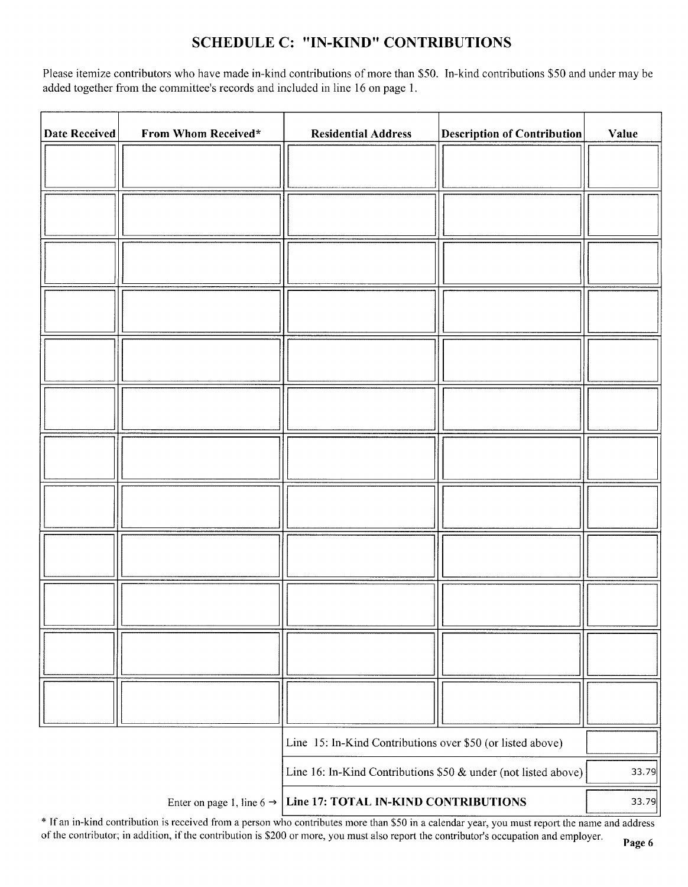## SCHEDULE C: "IN-KIND" CONTRIBUTIONS

Please itemize contributors who have made in-kind contributions of more than \$50. In-kind contributions \$50 and under may be added together from the committee's records and included in line 16 on page 1.

| Date Received | From Whom Received*                   | <b>Residential Address</b>                                     | <b>Description of Contribution</b> | Value |
|---------------|---------------------------------------|----------------------------------------------------------------|------------------------------------|-------|
|               |                                       |                                                                |                                    |       |
|               |                                       |                                                                |                                    |       |
|               |                                       |                                                                |                                    |       |
|               |                                       |                                                                |                                    |       |
|               |                                       |                                                                |                                    |       |
|               |                                       |                                                                |                                    |       |
|               |                                       |                                                                |                                    |       |
|               |                                       |                                                                |                                    |       |
|               |                                       |                                                                |                                    |       |
|               |                                       |                                                                |                                    |       |
|               |                                       |                                                                |                                    |       |
|               |                                       |                                                                |                                    |       |
|               |                                       |                                                                |                                    |       |
|               |                                       |                                                                |                                    |       |
|               |                                       | Line 15: In-Kind Contributions over \$50 (or listed above)     |                                    |       |
|               |                                       | Line 16: In-Kind Contributions \$50 & under (not listed above) |                                    | 33.79 |
|               | Enter on page 1, line 6 $\rightarrow$ | Line 17: TOTAL IN-KIND CONTRIBUTIONS                           |                                    | 33.79 |

\* If an in-kind contribution is received from a person who contributes more than \$50 in a calendar year, you must report the name and address of the contributor; in addition, if the contribution is \$200 or more, you must also report the contributor's occupation and employer.